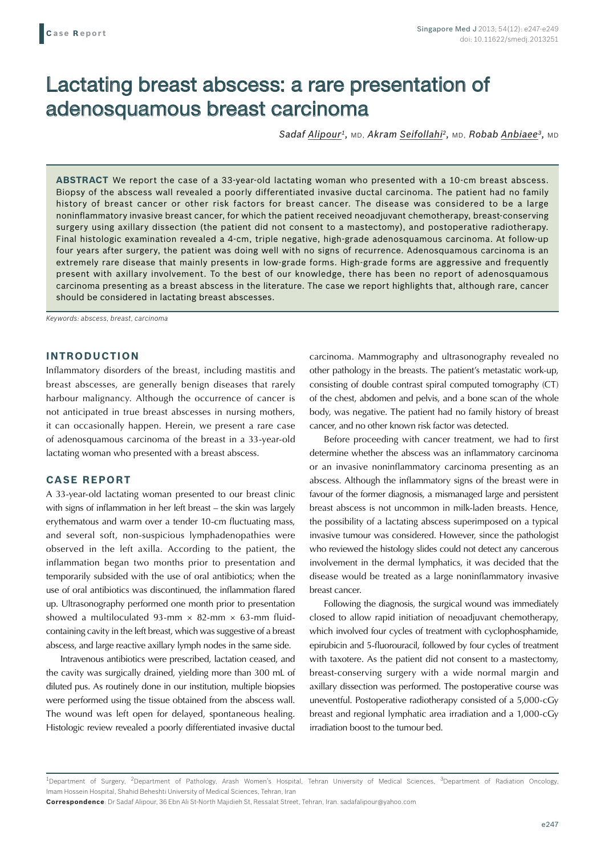# Lactating breast abscess: a rare presentation of adenosquamous breast carcinoma

*Sadaf Alipour1,* MD, *Akram Seifollahi2,* MD, *Robab Anbiaee3,* MD

**ABSTRACT** We report the case of a 33-year-old lactating woman who presented with a 10-cm breast abscess. Biopsy of the abscess wall revealed a poorly differentiated invasive ductal carcinoma. The patient had no family history of breast cancer or other risk factors for breast cancer. The disease was considered to be a large noninflammatory invasive breast cancer, for which the patient received neoadjuvant chemotherapy, breast-conserving surgery using axillary dissection (the patient did not consent to a mastectomy), and postoperative radiotherapy. Final histologic examination revealed a 4-cm, triple negative, high-grade adenosquamous carcinoma. At follow-up four years after surgery, the patient was doing well with no signs of recurrence. Adenosquamous carcinoma is an extremely rare disease that mainly presents in low-grade forms. High-grade forms are aggressive and frequently present with axillary involvement. To the best of our knowledge, there has been no report of adenosquamous carcinoma presenting as a breast abscess in the literature. The case we report highlights that, although rare, cancer should be considered in lactating breast abscesses.

*Keywords: abscess, breast, carcinoma* 

## **INTRODUCTION**

Inflammatory disorders of the breast, including mastitis and breast abscesses, are generally benign diseases that rarely harbour malignancy. Although the occurrence of cancer is not anticipated in true breast abscesses in nursing mothers, it can occasionally happen. Herein, we present a rare case of adenosquamous carcinoma of the breast in a 33-year-old lactating woman who presented with a breast abscess.

### **CASE REPORT**

A 33-year-old lactating woman presented to our breast clinic with signs of inflammation in her left breast – the skin was largely erythematous and warm over a tender 10-cm fluctuating mass, and several soft, non-suspicious lymphadenopathies were observed in the left axilla. According to the patient, the inflammation began two months prior to presentation and temporarily subsided with the use of oral antibiotics; when the use of oral antibiotics was discontinued, the inflammation flared up. Ultrasonography performed one month prior to presentation showed a multiloculated 93-mm  $\times$  82-mm  $\times$  63-mm fluidcontaining cavity in the left breast, which was suggestive of a breast abscess, and large reactive axillary lymph nodes in the same side.

Intravenous antibiotics were prescribed, lactation ceased, and the cavity was surgically drained, yielding more than 300 mL of diluted pus. As routinely done in our institution, multiple biopsies were performed using the tissue obtained from the abscess wall. The wound was left open for delayed, spontaneous healing. Histologic review revealed a poorly differentiated invasive ductal carcinoma. Mammography and ultrasonography revealed no other pathology in the breasts. The patient's metastatic work-up, consisting of double contrast spiral computed tomography (CT) of the chest, abdomen and pelvis, and a bone scan of the whole body, was negative. The patient had no family history of breast cancer, and no other known risk factor was detected.

Before proceeding with cancer treatment, we had to first determine whether the abscess was an inflammatory carcinoma or an invasive noninflammatory carcinoma presenting as an abscess. Although the inflammatory signs of the breast were in favour of the former diagnosis, a mismanaged large and persistent breast abscess is not uncommon in milk-laden breasts. Hence, the possibility of a lactating abscess superimposed on a typical invasive tumour was considered. However, since the pathologist who reviewed the histology slides could not detect any cancerous involvement in the dermal lymphatics, it was decided that the disease would be treated as a large noninflammatory invasive breast cancer.

Following the diagnosis, the surgical wound was immediately closed to allow rapid initiation of neoadjuvant chemotherapy, which involved four cycles of treatment with cyclophosphamide, epirubicin and 5-fluorouracil, followed by four cycles of treatment with taxotere. As the patient did not consent to a mastectomy, breast-conserving surgery with a wide normal margin and axillary dissection was performed. The postoperative course was uneventful. Postoperative radiotherapy consisted of a 5,000-cGy breast and regional lymphatic area irradiation and a 1,000-cGy irradiation boost to the tumour bed.

<sup>&</sup>lt;sup>1</sup>Department of Surgery, <sup>2</sup>Department of Pathology, Arash Women's Hospital, Tehran University of Medical Sciences, <sup>3</sup>Department of Radiation Oncology, Imam Hossein Hospital, Shahid Beheshti University of Medical Sciences, Tehran, Iran

**Correspondence**: Dr Sadaf Alipour, 36 Ebn Ali St-North Majidieh St, Ressalat Street, Tehran, Iran. sadafalipour@yahoo.com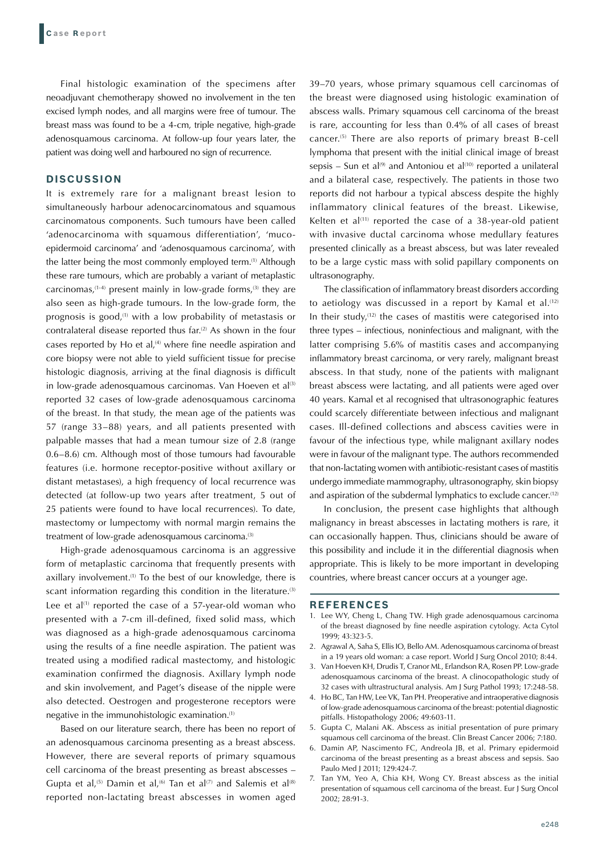Final histologic examination of the specimens after neoadjuvant chemotherapy showed no involvement in the ten excised lymph nodes, and all margins were free of tumour. The breast mass was found to be a 4-cm, triple negative, high-grade adenosquamous carcinoma. At follow-up four years later, the patient was doing well and harboured no sign of recurrence.

#### **DISCUSSION**

It is extremely rare for a malignant breast lesion to simultaneously harbour adenocarcinomatous and squamous carcinomatous components. Such tumours have been called 'adenocarcinoma with squamous differentiation', 'mucoepidermoid carcinoma' and 'adenosquamous carcinoma', with the latter being the most commonly employed term.<sup>(1)</sup> Although these rare tumours, which are probably a variant of metaplastic carcinomas, $(1-4)$  present mainly in low-grade forms, $(3)$  they are also seen as high-grade tumours. In the low-grade form, the prognosis is good, $(1)$  with a low probability of metastasis or contralateral disease reported thus far.<sup>(2)</sup> As shown in the four cases reported by Ho et al, $(4)$  where fine needle aspiration and core biopsy were not able to yield sufficient tissue for precise histologic diagnosis, arriving at the final diagnosis is difficult in low-grade adenosquamous carcinomas. Van Hoeven et al $^{(3)}$ reported 32 cases of low-grade adenosquamous carcinoma of the breast. In that study, the mean age of the patients was 57 (range 33–88) years, and all patients presented with palpable masses that had a mean tumour size of 2.8 (range 0.6–8.6) cm. Although most of those tumours had favourable features (i.e. hormone receptor-positive without axillary or distant metastases), a high frequency of local recurrence was detected (at follow-up two years after treatment, 5 out of 25 patients were found to have local recurrences). To date, mastectomy or lumpectomy with normal margin remains the treatment of low-grade adenosquamous carcinoma.<sup>(3)</sup>

High-grade adenosquamous carcinoma is an aggressive form of metaplastic carcinoma that frequently presents with axillary involvement.<sup>(1)</sup> To the best of our knowledge, there is scant information regarding this condition in the literature.<sup>(3)</sup> Lee et  $al^{(1)}$  reported the case of a 57-year-old woman who presented with a 7-cm ill-defined, fixed solid mass, which was diagnosed as a high-grade adenosquamous carcinoma using the results of a fine needle aspiration. The patient was treated using a modified radical mastectomy, and histologic examination confirmed the diagnosis. Axillary lymph node and skin involvement, and Paget's disease of the nipple were also detected. Oestrogen and progesterone receptors were negative in the immunohistologic examination.(1)

Based on our literature search, there has been no report of an adenosquamous carcinoma presenting as a breast abscess. However, there are several reports of primary squamous cell carcinoma of the breast presenting as breast abscesses – Gupta et al,<sup>(5)</sup> Damin et al,<sup>(6)</sup> Tan et al<sup>(7)</sup> and Salemis et al<sup>(8)</sup> reported non-lactating breast abscesses in women aged 39–70 years, whose primary squamous cell carcinomas of the breast were diagnosed using histologic examination of abscess walls. Primary squamous cell carcinoma of the breast is rare, accounting for less than 0.4% of all cases of breast cancer.(5) There are also reports of primary breast B-cell lymphoma that present with the initial clinical image of breast sepsis – Sun et al<sup>(9)</sup> and Antoniou et al<sup>(10)</sup> reported a unilateral and a bilateral case, respectively. The patients in those two reports did not harbour a typical abscess despite the highly inflammatory clinical features of the breast. Likewise, Kelten et al $(11)$  reported the case of a 38-year-old patient with invasive ductal carcinoma whose medullary features presented clinically as a breast abscess, but was later revealed to be a large cystic mass with solid papillary components on ultrasonography.

The classification of inflammatory breast disorders according to aetiology was discussed in a report by Kamal et al. $(12)$ In their study, $(12)$  the cases of mastitis were categorised into three types – infectious, noninfectious and malignant, with the latter comprising 5.6% of mastitis cases and accompanying inflammatory breast carcinoma, or very rarely, malignant breast abscess. In that study, none of the patients with malignant breast abscess were lactating, and all patients were aged over 40 years. Kamal et al recognised that ultrasonographic features could scarcely differentiate between infectious and malignant cases. Ill-defined collections and abscess cavities were in favour of the infectious type, while malignant axillary nodes were in favour of the malignant type. The authors recommended that non-lactating women with antibiotic-resistant cases of mastitis undergo immediate mammography, ultrasonography, skin biopsy and aspiration of the subdermal lymphatics to exclude cancer.(12)

In conclusion, the present case highlights that although malignancy in breast abscesses in lactating mothers is rare, it can occasionally happen. Thus, clinicians should be aware of this possibility and include it in the differential diagnosis when appropriate. This is likely to be more important in developing countries, where breast cancer occurs at a younger age.

#### **REFERENCES**

- 1. Lee WY, Cheng L, Chang TW. High grade adenosquamous carcinoma of the breast diagnosed by fine needle aspiration cytology. Acta Cytol 1999; 43:323-5.
- 2. Agrawal A, Saha S, Ellis IO, Bello AM. Adenosquamous carcinoma of breast in a 19 years old woman: a case report. World J Surg Oncol 2010; 8:44.
- 3. Van Hoeven KH, Drudis T, Cranor ML, Erlandson RA, Rosen PP. Low-grade adenosquamous carcinoma of the breast. A clinocopathologic study of 32 cases with ultrastructural analysis. Am J Surg Pathol 1993; 17:248-58.
- 4. Ho BC, Tan HW, Lee VK, Tan PH. Preoperative and intraoperative diagnosis of low-grade adenosquamous carcinoma of the breast: potential diagnostic pitfalls. Histopathology 2006; 49:603-11.
- 5. Gupta C, Malani AK. Abscess as initial presentation of pure primary squamous cell carcinoma of the breast. Clin Breast Cancer 2006; 7:180.
- 6. Damin AP, Nascimento FC, Andreola JB, et al. Primary epidermoid carcinoma of the breast presenting as a breast abscess and sepsis. Sao Paulo Med J 2011; 129:424-7.
- 7. Tan YM, Yeo A, Chia KH, Wong CY. Breast abscess as the initial presentation of squamous cell carcinoma of the breast. Eur J Surg Oncol 2002; 28:91-3.